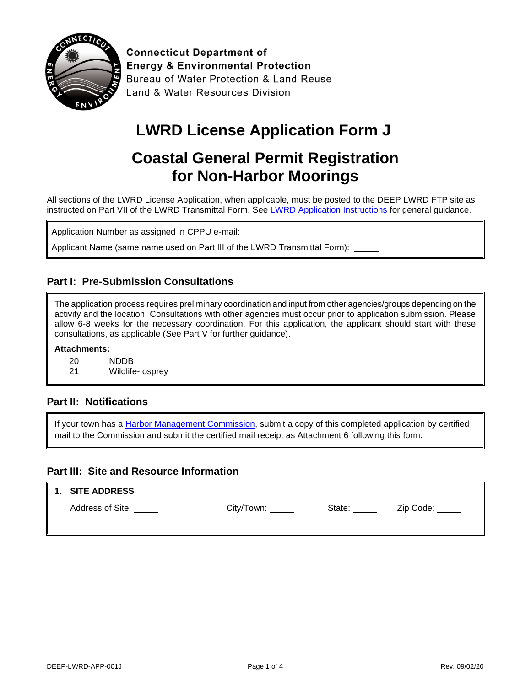

**Connecticut Department of Energy & Environmental Protection Bureau of Water Protection & Land Reuse** Land & Water Resources Division

# **LWRD License Application Form J**

## **Coastal General Permit Registration for Non-Harbor Moorings**

All sections of the LWRD License Application, when applicable, must be posted to the DEEP LWRD FTP site as instructed on Part VII of the LWRD Transmittal Form. See [LWRD Application Instructions](https://portal.ct.gov/-/media/DEEP/Permits_and_Licenses/Land_Use_Permits/LWRD/LWRDinstpdf.pdf) for general guidance.

Application Number as assigned in CPPU e-mail:

Applicant Name (same name used on Part III of the LWRD Transmittal Form):

#### **Part I: Pre-Submission Consultations**

The application process requires preliminary coordination and input from other agencies/groups depending on the activity and the location. Consultations with other agencies must occur prior to application submission. Please allow 6-8 weeks for the necessary coordination. For this application, the applicant should start with these consultations, as applicable (See Part V for further guidance).

#### **Attachments:**

20 NDDB

21 Wildlife- osprey

#### **Part II: Notifications**

If your town has a **Harbor Management Commission**, submit a copy of this completed application by certified mail to the Commission and submit the certified mail receipt as Attachment 6 following this form.

#### **Part III: Site and Resource Information**

| $\parallel$ 1. SITE ADDRESS |            |        |           |
|-----------------------------|------------|--------|-----------|
| Address of Site:            | City/Town: | State: | Zip Code: |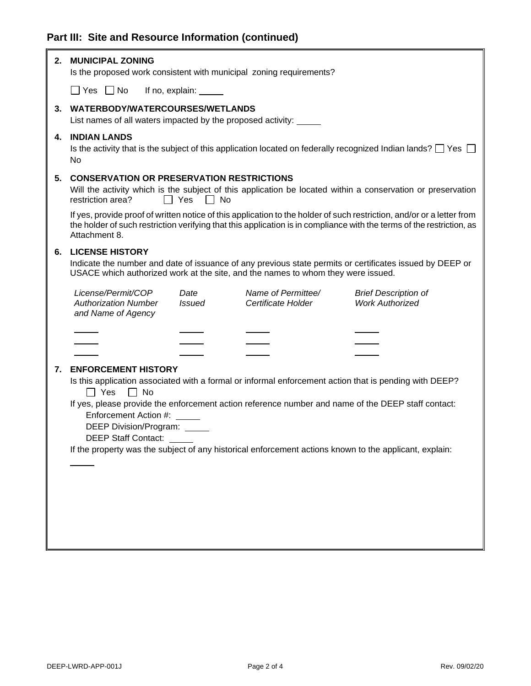### **Part III: Site and Resource Information (continued)**

| 2. | <b>MUNICIPAL ZONING</b>                                                                              |                       | Is the proposed work consistent with municipal zoning requirements?              |                                                                                                                                                                                                                                                 |
|----|------------------------------------------------------------------------------------------------------|-----------------------|----------------------------------------------------------------------------------|-------------------------------------------------------------------------------------------------------------------------------------------------------------------------------------------------------------------------------------------------|
|    | $\Box$ Yes $\Box$ No                                                                                 |                       |                                                                                  |                                                                                                                                                                                                                                                 |
| 3. | WATERBODY/WATERCOURSES/WETLANDS<br>List names of all waters impacted by the proposed activity: _____ |                       |                                                                                  |                                                                                                                                                                                                                                                 |
|    |                                                                                                      |                       |                                                                                  |                                                                                                                                                                                                                                                 |
| 4. | <b>INDIAN LANDS</b><br>No                                                                            |                       |                                                                                  | Is the activity that is the subject of this application located on federally recognized Indian lands? $\square$ Yes $\square$                                                                                                                   |
| 5. | <b>CONSERVATION OR PRESERVATION RESTRICTIONS</b><br>restriction area?                                | ∣∣ Yes<br>l I No      |                                                                                  | Will the activity which is the subject of this application be located within a conservation or preservation                                                                                                                                     |
|    | Attachment 8.                                                                                        |                       |                                                                                  | If yes, provide proof of written notice of this application to the holder of such restriction, and/or or a letter from<br>the holder of such restriction verifying that this application is in compliance with the terms of the restriction, as |
| 6. | <b>LICENSE HISTORY</b>                                                                               |                       | USACE which authorized work at the site, and the names to whom they were issued. | Indicate the number and date of issuance of any previous state permits or certificates issued by DEEP or                                                                                                                                        |
|    | License/Permit/COP<br><b>Authorization Number</b><br>and Name of Agency                              | Date<br><b>Issued</b> | Name of Permittee/<br>Certificate Holder                                         | <b>Brief Description of</b><br><b>Work Authorized</b>                                                                                                                                                                                           |
|    |                                                                                                      |                       |                                                                                  |                                                                                                                                                                                                                                                 |
|    |                                                                                                      |                       |                                                                                  |                                                                                                                                                                                                                                                 |
|    |                                                                                                      |                       |                                                                                  |                                                                                                                                                                                                                                                 |
| 7. | <b>ENFORCEMENT HISTORY</b>                                                                           |                       |                                                                                  |                                                                                                                                                                                                                                                 |
|    | $\Box$ Yes<br>$\Box$ No                                                                              |                       |                                                                                  | Is this application associated with a formal or informal enforcement action that is pending with DEEP?                                                                                                                                          |
|    |                                                                                                      |                       |                                                                                  | If yes, please provide the enforcement action reference number and name of the DEEP staff contact:                                                                                                                                              |
|    | Enforcement Action #:                                                                                |                       |                                                                                  |                                                                                                                                                                                                                                                 |
|    | DEEP Division/Program: _____                                                                         |                       |                                                                                  |                                                                                                                                                                                                                                                 |
|    | <b>DEEP Staff Contact:</b>                                                                           |                       |                                                                                  |                                                                                                                                                                                                                                                 |
|    |                                                                                                      |                       |                                                                                  | If the property was the subject of any historical enforcement actions known to the applicant, explain:                                                                                                                                          |
|    |                                                                                                      |                       |                                                                                  |                                                                                                                                                                                                                                                 |
|    |                                                                                                      |                       |                                                                                  |                                                                                                                                                                                                                                                 |
|    |                                                                                                      |                       |                                                                                  |                                                                                                                                                                                                                                                 |
|    |                                                                                                      |                       |                                                                                  |                                                                                                                                                                                                                                                 |
|    |                                                                                                      |                       |                                                                                  |                                                                                                                                                                                                                                                 |
|    |                                                                                                      |                       |                                                                                  |                                                                                                                                                                                                                                                 |
|    |                                                                                                      |                       |                                                                                  |                                                                                                                                                                                                                                                 |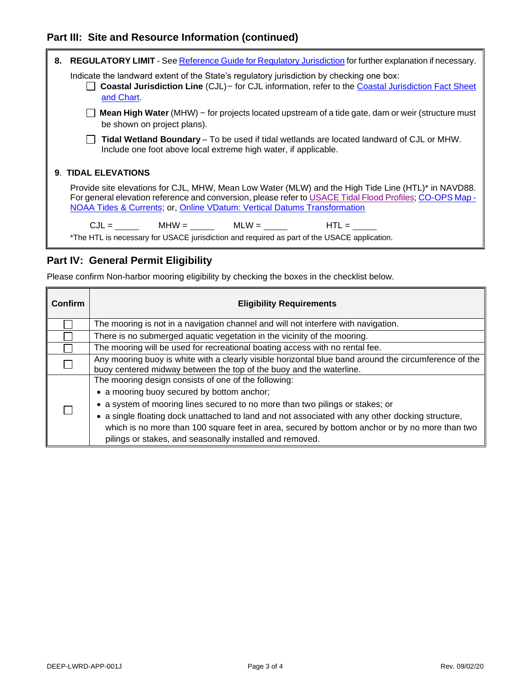#### **Part III: Site and Resource Information (continued)**



#### **Part IV: General Permit Eligibility**

Please confirm Non-harbor mooring eligibility by checking the boxes in the checklist below.

| <b>Confirm</b> | <b>Eligibility Requirements</b>                                                                                                                                              |
|----------------|------------------------------------------------------------------------------------------------------------------------------------------------------------------------------|
|                | The mooring is not in a navigation channel and will not interfere with navigation.                                                                                           |
|                | There is no submerged aquatic vegetation in the vicinity of the mooring.                                                                                                     |
|                | The mooring will be used for recreational boating access with no rental fee.                                                                                                 |
|                | Any mooring buoy is white with a clearly visible horizontal blue band around the circumference of the<br>buoy centered midway between the top of the buoy and the waterline. |
|                | The mooring design consists of one of the following:                                                                                                                         |
|                | • a mooring buoy secured by bottom anchor;                                                                                                                                   |
|                | • a system of mooring lines secured to no more than two pilings or stakes; or                                                                                                |
|                | • a single floating dock unattached to land and not associated with any other docking structure,                                                                             |
|                | which is no more than 100 square feet in area, secured by bottom anchor or by no more than two                                                                               |
|                | pilings or stakes, and seasonally installed and removed.                                                                                                                     |